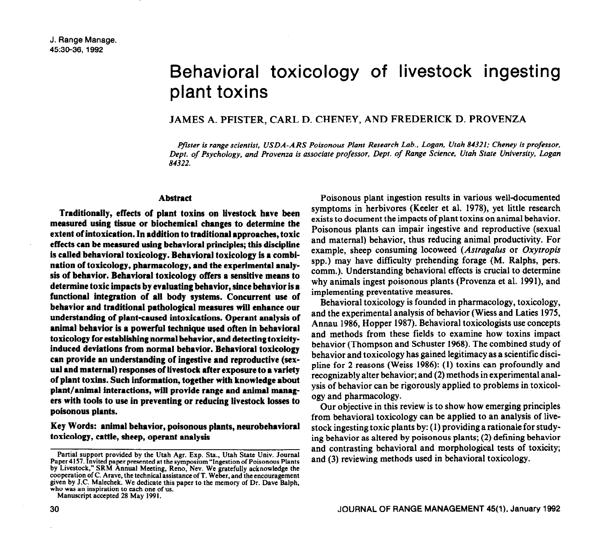# Behavioral toxicology of livestock ingesting plant toxins

## JAMES A. PFISTER, CARL D. CHENEY, AND FREDERICK D. PROVENZA

*pfster is range scientist, USDA-ARS Poisonous Plant Research Lab.. Logan, Utah 84321; Cheney is professor, Dem. of Psvcholonv. and Provenza is associate professor, Dept. of Range Science, Utah State University, Logon 84522. - . -I* 

#### **Abstract**

**Traditionally, effects of plant toxins on livestock have been measured using tissue or biochemical changes to determine the extent of intoxication. In addition to traditional approaches, toxic effects can be measured using behavioral principles; this discipline is called behavioral toxicology. Behavioral toxicology is a combination of toxicology, pharmacology, and the experimental analysis of behavior. Behavioral toxicology offers a sensitive means to determine toxic impacts by evaluating behavior, since behavior is a functional integration of all body systems. Concurrent use of behavior and traditional pathological measures will enhance our understanding of plant-caused intoxications. Operant analysis of animal behavior is a powerful technique used often in behavioral toxicology for establishiig normal behavior, and detecting toxicityinduced deviations from normal behavior. Behavioral toxicology can provide an understanding of ingestive and reproductive (sexual and maternal) responses of livestock after exposure to a variety of plant toxins. Such information, together with knowledge about plant/animal interactions, will provide range and animal managers with tools to use in preventing or reducing livestock losses to poisonous plants.** 

**Key Words: animal behavior, poisonous plants, neurobehavioral toxicology, cattle, sheep, operant analysis** 

**Manuscript accepted 28 May 1991.** 

Poisonous plant ingestion results in various well-documented symptoms in herbivores (Keeler et al. 1978), yet little research exists to document the impacts of plant toxins on animal behavior. Poisonous plants can impair ingestive and reproductive (sexual and maternal) behavior, thus reducing animal productivity. For example, sheep consuming locoweed *(Astragalus* or *Oxytropis*  spp.) may have difficulty prehending forage (M. Ralphs, pers. comm.). Understanding behavioral effects is crucial to determine why animals ingest poisonous plants (Provenza et al. 1991), and implementing preventative measures.

Behavioral toxicology is founded in pharmacology, toxicology, and the experimental analysis of behavior (Wiess and Laties 1975, Annau 1986, Hopper 1987). Behavioral toxicologists use concepts and methods from these fields to examine how toxins impact behavior (Thompson and Schuster 1968). The combined study of behavior and toxicology has gained legitimacy as a scientific discipline for 2 reasons (Weiss 1986): (1) toxins can profoundly and recognizably alter behavior; and (2) methods in experimental analysis of behavior can be rigorously applied to problems in toxicology and pharmacology.

Our objective in this review is to show how emerging principles from behavioral toxicology can be applied to an analysis of livestock ingesting toxic plants by: (1) providing a rationale for studying behavior as altered by poisonous plants; (2) defining behavior and contrasting behavioral and morphological tests of toxicity; and (3) reviewing methods used in behavioral toxicology.

**Partial support provided by the Utah Agr. Exp. Sta., Utah State Univ. Journal Paper 4157. Invited paper presented at the symposium "Ingestion of Poisonous Plants by Livestock," SRM Annual Meeting, Reno, New. We gratefully acknowledge the cooperation of C. Arave, the technical assistance of T. Weber, and the encouragement given by J.C. Malechek. We dedicate this paper to the memory of Dr. Dave Ralph, who was an inspiration to each one of us.**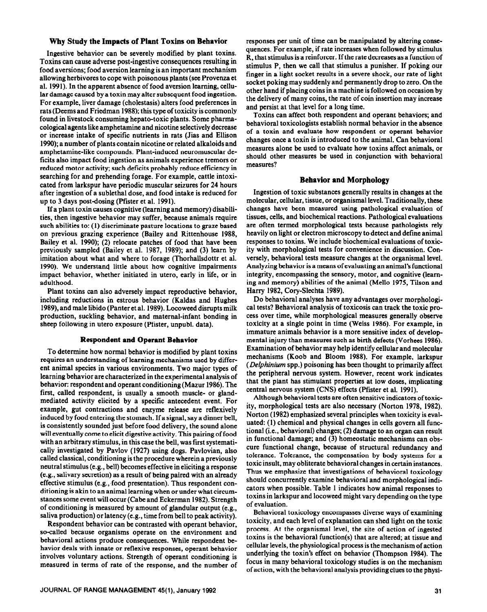# **Why Study the Impacts of Plant Toxins on Behavior**

Ingestive behavior can be severely modified by plant toxins. Toxins can cause adverse post-ingestive consequences resulting in food aversions; food aversion learning is an important mechanism allowing herbivores to cope with poisonous plants (see Provenza et al. 1991). In the apparent absence of food aversion learning, cellular damage caused by a toxin may alter subsequent food ingestion. For example, liver damage (cholestasis) alters food preferences in rats (Deems and Friedman 1988); this type of toxicity is commonly found in livestock consuming hepato-toxic plants. Some pharmacological agents like amphetamine and nicotine selectively decrease or increase intake of specific nutrients in rats (Jias and Elliion 1990); a number of plants contain nicotine or related alkaloids and amphetamine-like compounds. Plant-induced neuromuscular deficits also impact food ingestion as animals experience tremors or reduced motor activity; such deficits probably reduce efficiency in searching for and prehending forage. For example, cattle intoxicated from larkspur have periodic muscular seizures for 24 hours after ingestion of a sublethal dose, and food intake is reduced for up to 3 days post-dosing (Pfister et al. 1991).

If a plant toxin causes cognitive (learning and memory) disabilities, then ingestive behavior may suffer, because animals require such abilities to: (1) discriminate pasture locations to graze based on previous grazing experience (Bailey and Rittenhouse 1988, Bailey et al. 1990); (2) relocate patches of food that have been previously sampled (Bailey et al. 1987, 1989); and (3) learn by imitation about what and where to forage (Thorhallsdottr et al. 1990). We understand little about how cognitive impairments impact behavior, whether initiated in utero, early in life, or in adulthood.

Plant toxins can also adversely impact reproductive behavior, including reductions in estrous behavior (Kaldas and Hughes 1989), and male libido (Panter et al. 1989). Locoweed disrupts milk production, suckling behavior, and maternal-infant bonding in sheep following in utero exposure (Pfister, unpubl. data).

## **Respondent and Operant Behavior**

To determine how normal behavior is modified by plant toxins requires an understanding of learning mechanisms used by different animal species in various environments. Two major types of learning behavior are characterized in the experimental analysis of behavior: respondent and operant conditioning (Mazur 1986). The first, called respondent, is usually a smooth muscle- or glandmediated activity elicited by a specific antecedent event. For example, gut contractions and enzyme release are reflexively induced by food entering the stomach. If a signal, say a dinner bell, is consistently sounded just before food delivery, the sound alone will eventually come to elicit digestive activity. This pairing of food with an arbitrary stimulus, in this case the bell, was first systematically investigated by Pavlov (1927) using dogs. Pavlovian, also called classical, conditioning is the procedure wherein a previously neutral stimulus (e.g., bell) becomes effective in eliciting **a** response (e.g., salivary secretion) as a result of being paired with an already effective stimulus (e.g., food presentation). Thus respondent conditioning is akin to an animal learning when or under what circumstances some event will occur (Cabe and Eckerman 1982). Strength of conditioning is measured by amount of glandular output (e.g., saliva production) or latency (e.g., time from bell to peak activity).

Respondent behavior can be contrasted with operant behavior, so-called because organisms operate on the environment and behavioral actions produce consequences. While respondent behavior deals with innate or reflexive responses, operant behavior involves voluntary actions. Strength of operant conditioning is measured in terms of rate of the response, and the number of responses per unit of time can be manipulated by altering consequences. For example, if rate increases when followed by stimulus R, that stimulus is a reinforcer. If the rate decreases as a function of stimulus P, then we call that stimulus a punisher. If poking our finger in a light socket results in a severe shock, our rate of light socket poking may suddenly and permanently drop to zero. On the other hand if placing coins in a machine is followed on occasion by the delivery of many coins, the rate of coin insertion may increase and persist at that level for a long time.

Toxins can affect both respondent and operant behaviors; and behavioral toxicologists establish normal behavior in the absence of a toxin and evaluate how respondent or operant behavior changes once a toxin is introduced to the animal. Can behavioral measures alone be used to evaluate how toxins affect animals, or should other measures be used in conjunction with behavioral measures?

# **Behavior and Morphology**

Ingestion of toxic substances generally results in changes at the molecular, cellular, tissue, or organismal level. Traditionally, these changes have been measured using pathological evaluation of tissues, cells, and biochemical reactions. Pathological evaluations are often termed morphological tests because pathologists rely heavily on light or electron microscopy to detect and define animal responses to toxins. We include biochemical evaluations of toxicity with morphological tests for convenience in discussion. Conversely, behavioral tests measure changes at the organismal level. Analyzing behavior is a means of evaluating an animal's functional integrity, encompassing the sensory, motor, and cognitive (leaming and memory) abilities of the animal (Mello 1975, Tilson and Harry 1982, Cory-Slechta 1989).

Do behavioral analyses have any advantages over morphological tests? Behavioral analysis of toxicosis can track the toxic process over time, while morphological measures generally observe toxicity at a single point in time (Weiss 1986). For example, in immature animals behavior is a more sensitive index of developmental injury than measures such as birth defects (Vorhees 1986). Examination of behavior may help identify cellular and molecular mechanisms (Koob and Bloom 1988). For example, larkspur *(Delphinium* spp.) poisoning has been thought to primarily affect the peripheral nervous system. However, recent work indicates that the plant has stimulant properties at low doses, implicating central nervous system (CNS) effects (Pfister et al. 1991).

Although behavioral tests are often sensitive indicators of toxicity, morphological tests are also necessary (Norton 1978, 1982). Norton (1982) emphasized several principles when toxicity is evaluated: (1) chemical and physical changes in cells govern all functional (i.e., behavioral) changes; (2) damage to an organ can result in functional damage; and (3) homeostatic mechanisms can obscure functional change, because of structural redundancy and tolerance. Tolerance, the compensation by body systems for a toxic insult, may obliterate behavioral changes in certain instances. Thus we emphasize that investigations of behavioral toxicology should concurrently examine behavioral and morphological indicators when possible. Table 1 indicates how animal responses to toxins in larkspur and locoweed might vary depending on the type of evaluation.

Behavioral toxicology encompasses diverse ways of examining toxicity, and each level of explanation can shed light on the toxic process. At the organismal level, the site of action of ingested toxins is the behavioral function(s) that are altered; at tissue and cellular levels, the physiological process is the mechanism of action underlying the toxin's effect on behavior (Thompson 1984). The focus in many behavioral toxicology studies is on the mechanism of action, with the behavioral analysis providing clues to the physi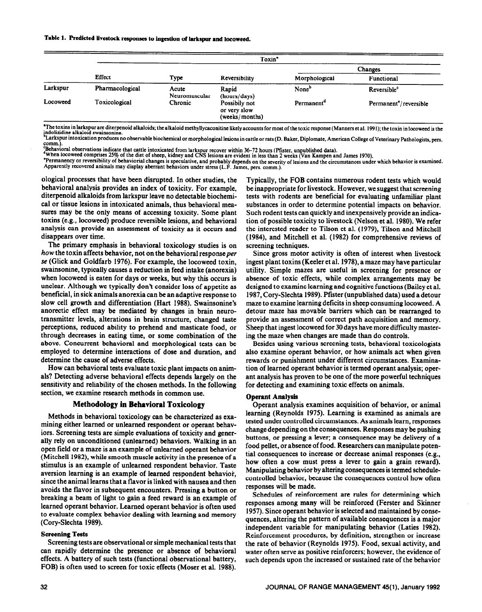Table 1. Predicted livestock responses to ingestion of larkspur and locoweed.

|          | Toxin <sup>*</sup> |                        |                                                 |                        |                                    |
|----------|--------------------|------------------------|-------------------------------------------------|------------------------|------------------------------------|
|          | Effect             | Type                   | Reversibility                                   | Changes                |                                    |
|          |                    |                        |                                                 | Morphological          | Functional                         |
| Larkspur | Pharmacological    | Acute<br>Neuromuscular | Rapid<br>(hours/days)                           | None <sup>b</sup>      | Reversible <sup>c</sup>            |
| Locoweed | Toxicological      | Chronic                | Possibily not<br>or very slow<br>(weeks/months) | Permanent <sup>a</sup> | Permanent <sup>e</sup> /reversible |

**'The toxins in larkspur are diterpenoid alkaloids; the alkaloid methyllycaconitine likely accounts for most of the toxic response (Manners et al. 199 1); the toxin in locoweed is the**  indolizidine alkaloid swainsonine.

**Larkspur intoxication produces no observable biochemical or morphological** lesions **in cattle or rats (D. Baker, Diplomate, American College of Veterinary Pathologists, pers. comm.).** 

Benavioral observations indicate that cattle intoxicated from larkspur recover within 36–72 hours (Pfister, unpublished data).<br>\*When locoweed comprises 25% of the diet of sheep, kidney and CNS lesions are evident in less t

Permanency or reversibility of behaviorial changes is speculative, and probably depends on the severity of lesions and the circumstances under which behavior is examined.<br>Apparently recovered animals may display aberrant b

ological processes that have been disrupted. In other studies, the behavioral analysis provides an index of toxicity. For example, diterpenoid alkaloids from larkspur leave no detectable biochemical or tissue lesions in intoxicated animals, thus behavioral measures may be the only means of accessing toxicity. Some plant toxins (e.g., locoweed) produce reversible lesions, and behavioral analysis can provide an assessment of toxicity as it occurs and disappears over time.

The primary emphasis in behavioral toxicology studies is on how the toxin affects behavior, not on the behavioral response per se (Glick and Goldfarb 1976). For example, the locoweed toxin, swainsonine, typically causes a reduction in feed intake (anorexia) when locoweed is eaten for days or weeks, but why this occurs is unclear. Although we typically don't consider loss of appetite as beneficial, in sick animals anorexia can be an adaptive response to slow cell growth and differentiation (Hart 1988). Swainsonine's anorectic effect may be mediated by changes in brain neurotransmitter levels, alterations in brain structure, changed taste perceptions, reduced ability to prehend and masticate food, or through decreases in eating time, or some combination of the above. Concurrent behavioral and morphological tests can be employed to determine interactions of dose and duration, and determine the cause of adverse effects.

How can behavioral tests evaluate toxic plant impacts on animals? Detecting adverse behavioral effects depends largely on the sensitivity and reliability of the chosen methods. In the following section, we examine research methods in common use.

## **Methodology in Behavioral Toxicology**

Methods in behavioral toxicology can be characterized as examining either learned or unlearned respondent or operant behaviors. Screening tests are simple evaluations of toxicity and generally rely on unconditioned (unlearned) behaviors. Walking in an open field or a maze is an example of unlearned operant behavior (Mitchell 1982), while smooth muscle activity in the presence of a stimulus is an example of unlearned respondent behavior. Taste aversion learning is an example of learned respondent behavior, since the animal learns that a flavor is linked with nausea and then avoids the flavor in subsequent encounters. Pressing a button or breaking a beam of light to gain a feed reward is an example of learned operant behavior. Learned operant behavior is often used to evaluate complex behavior dealing with learning and memory (Cory-Slechta 1989).

#### **Screening Tests**

Screening tests are observational or simple mechanical tests that can rapidly determine the presence or absence of behavioral effects. A battery of such tests (functional observational battery, FOB) is often used to screen for toxic effects (Moser et al. 1988).

Typically, the FOB contains numerous rodent tests which would be inappropriate for livestock. However, we suggest that screening tests with rodents are beneficial for evaluating unfamiliar plant substances in order to determine potential impacts on behavior. Such rodent tests can quickly and inexpensively provide an indication of possible toxicity to livestock (Nelson et al. 1980). We refer the interested reader to Tilson et al. (1979), Tilson and Mitchell (1984), and Mitchell et al. (1982) for comprehensive reviews of screening techniques.

Since gross motor activity is often of interest when livestock ingest plant toxins (Keeler et al. 1978), a maze may have particular utility. Simple mazes are useful in screening for presence or absence of toxic effects, while complex arrangements may be designed to examine learning and cognitive functions (Bailey et al. 1987, Cory-Slechta 1989). Pfister (unpublished data) used a detour maze to examine learning deficits in sheep consuming locoweed. A detour maze has movable barriers which can be rearranged to provide an assessment of correct path acquisition and memory. Sheep that ingest locoweed for 30 days have more difficulty mastering the maze when changes are made than do controls.

Besides using various screening tests, behavioral toxicologists also examine operant behavior, or how animals act when given rewards or punishment under different circumstances. Examination of learned operant behavior is termed operant analysis; operant analysis has proven to be one of the more powerful techniques for detecting and examining toxic effects on animals.

#### **Operant Analysis**

Operant analysis examines acquisition of behavior, or animal learning (Reynolds 1975). Learning is examined as animals are tested under controlled circumstances. As animals learn, responses change depending on the consequences. Responses may be pushing buttons, or pressing a lever; a consequence may be delivery of a food pellet, or absence of food. Researchers can manipulate potential consequences to increase or decrease animal responses (e.g., how often a cow must press a lever to gain a grain reward). Manipulating behavior by altering consequences is termed schedulecontrolled behavior, because the consequences control how often responses will be made.

Schedules of reinforcement are rules for determining which responses among many will be reinforced (Ferster and Skinner 1957). Since operant behavior is selected and maintained by consequences, altering the pattern of available consequences is a major independent variable for manipulating behavior (Laties 1982). Reinforcement procedures, by definition, strengthen or increase the rate of behavior (Reynolds 1975). Food, sexual activity, and water often serve as positive reinforcers; however, the evidence of such depends upon the increased or sustained rate of the behavior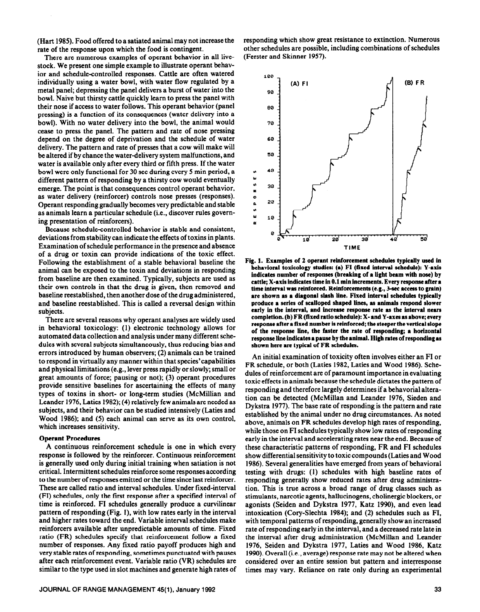(Hart 1985). Food offered to a satiated animal may not increase the rate of the response upon which the food is contingent.

There are numerous examples of operant behavior in all livestock. We present one simple example to illustrate operant behavior and schedule-controlled responses. Cattle are often watered individually using a water bowl, with water flow regulated by a metal panel; depressing the panel delivers a burst of water into the bowl. Naive but thirsty cattle quickly learn to press the panel with their nose if access to water follows. This operant behavior (panel pressing) is a function of its consequences (water delivery into a bowl). With no water delivery into the bowl, the animal would cease to press the panel. The pattern and rate of nose pressing depend on the degree of deprivation and the schedule of water delivery. The pattern and rate of presses that a cow will make will be altered if by chance the water-delivery system malfunctions, and water is available only after every third or fifth press. If the water bowl were only functional for 30 sec during every 5 min period, a different pattern of responding by a thirsty cow would eventually emerge. The point is that consequences control operant behavior, as water delivery (reinforcer) controls nose presses (responses). Operant responding gradually becomes very predictable and stable as animals learn a particular schedule (i.e., discover rules governing presentation of reinforcers).

Because schedule-controlled behavior is stable and consistent, deviations from stability can indicate the effects of toxins in plants. Examination of schedule performance in the presence and absence of a drug or toxin can provide indications of the toxic effect. Following the establishment of a stable behavioral baseline the animal can be exposed to the toxin and deviations in responding from baseline are then examined. Typically, subjects are used as their own controls in that the drug is given, then removed and baseline reestablished, then another dose of the drug administered, and baseline reestablished. This is called a reversal design within subjects.

There are several reasons why operant analyses are widely used in behavioral toxicology: (1) electronic technology allows for automated data collection and analysis under many different schedules with several subjects simultaneously, thus reducing bias and errors introduced by human observers; (2) animals can be trained to respond in virtually any manner within that species'capabilities and physical limitations (e.g., lever press rapidly or slowly; small or great amounts of force; pausing or not); (3) operant procedures provide sensitive baselines for ascertaining the effects of many types of toxins in short- or long-term studies (McMillian and Leander 1976, Laties 1982); (4) relatively few animals are needed as subjects, and their behavior can be studied intensively (Laties and Wood 1986); and (5) each animal can serve as its own control, which increases sensitivity.

#### **Operant** Procedures

A continuous reinforcement schedule is one in which every response is followed by the reinforcer. Continuous reinforcement is generally used only during initial training when satiation is not critical. Intermittent schedules reinforce some responses according to the number of responses emitted or the time since last reinforcer. These are called ratio and interval schedules. Under fixed-interval (FI) schedules, only the first response after a specified interval of time is reinforced. FI schedules generally produce a curvilinear pattern of responding (Fig. l), with low rates early in the interval and higher rates toward the end. Variable interval schedules make reinforcers available after unpredictable amounts of time. Fixed ratio (FR) schedules specify that reinforcement follow a fixed number of responses. Any fixed ratio payoff produces high and very stable rates of responding, sometimes punctuated with pauses after each reinforcement event. Variable ratio (VR) schedules are similar to the type used in slot machines and generate high rates of responding which show great resistance to extinction. Numerous other schedules are possible, including combinations of schedules (Ferster and Skinner 1957).



**Fig. 1. Examples of 2 operant reinforcement schedules typically used in behavioral toxicology studies: (a)** FI **(fixed interval schedule): Y-axis**  indicates number of responses (breaking of a light beam with nose) by **cattle; X-axis indicates time in 0.1 min increments. Every response after a time interval was reinforced. Reinforcements (e.g., 3-set access to grain) are shown as a diagonal slash lfne. Fixed interval schedules typically produce a series** of **scalloped shaped lines, as animals respond slower early in the interval, and increase response rate as the interval nears completion. (b)** FR (fixed ratio **schedule): X-and Y-axes as above; every response after a fixed number is reinforced; the steeper the vertical slope of the response line, the faster the rate of responding; a horizontal response line indicates a pause by the animal.** High rates of responding as **shown here are typical** of FR sebedules.

An initial examination of toxicity often involves either an FI or FR schedule, or both (Laties 1982, Laties and Wood 1986). Schedules of reinforcement are of paramount importance in evaluating toxic effects in animals because the schedule dictates the pattern of responding and therefore largely determines if a behavorial alteration can be detected (McMillan and Leander 1976, Sieden and Dykstra 1977). The base rate of responding is the pattern and rate established by the animal under no drug circumstances. As noted above, animals on FR schedules develop high rates of responding, while those on FI schedules typically show low rates of responding early in the interval and accelerating rates near the end. Because of these characteristic patterns of responding, FR and FI schedules show differential sensitivity to toxic compounds (Laties and Wood 1986). Several generalities have emerged from years of behavioral testing with drugs: (1) schedules with high baseline rates of responding generally show reduced rates after drug administration. This is true across a broad range of drug classes such as stimulants, narcotic agents, hallucinogens, cholinergic blockers, or agonists (Seiden and Dykstra 1977, Katz 1990), and even lead intoxication (Cory-Slechta 1984); and (2) schedules such as FI, with temporal patterns of responding, generally show an increased rate of responding early in the interval, and a decreased rate late in the interval after drug administration (McMillan and Leander 1976, Seiden and Dykstra 1977, Laties and Wood 1986, Katz 1990). Overall (i.e., average) response rate may not be altered when considered over an entire session but pattern and interresponse times may vary. Reliance on rate only during an experimental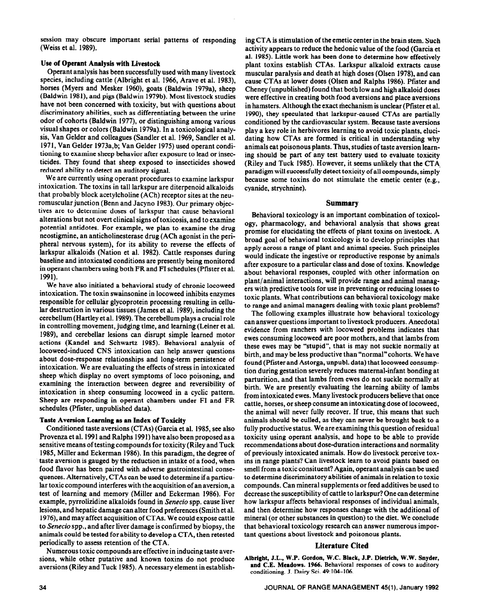session may obscure important serial patterns of responding (Weiss et al. 1989).

## **Use of Operant Analysis with Livestock**

Operant analysis has been successfully used with many livestock species, including cattle (Albright et al. 1966, Arave et al. 1983), horses (Myers and Mesker 1960), goats (Baldwin 1979a), sheep (Baldwin 1981), and pigs (Baldwin 1979b). Most livestock studies have not been concerned with toxicity, but with questions about discriminatory abilities, such as differentiating between the urine odor of cohorts (Baldwin 1977), or distinguishing among various visual shapes or colors (Baldwin 1979a). In a toxicological analysis, Van Gelder and colleagues (Sandler et al. 1969, Sandler et al. 1971, Van Gelder 1973a,b; Van Gelder 1975) used operant conditioning to examine sheep behavior after exposure to lead or insecticides. They found that sheep exposed to insecticides showed reduced ability to detect an auditory signal.

We are currently using operant procedures to examine larkspur intoxication. The toxins in tall larkspur are diterpenoid alkaloids that probably block acetylcholine (ACh) receptor sites at the neuromuscular junction (Benn and Jacyno 1983). **Our primary objec**tives are to determine doses of larkspur that cause behavioral alterations but not overt clinical signs of toxicosis, and to examine potential antidotes. For example, we plan to examine the drug neostigmine, an anticholinesterase drug (ACh agonist in the peripheral nervous system), for its ability to reverse the effects of larkspur alkaloids (Nation et al. 1982). Cattle responses during baseline and intoxicatgd conditions are presently being monitored in operant chambers using both FR and FI schedules (Pfister et al. 1991).

We have also initiated a behavioral study of chronic locoweed intoxication. The toxin swainsonine in locoweed inhibits enzymes responsible for cellular glycoprotein processing resulting in cellular destruction in various tissues (James et al. 1989), including the cerebellum (Hartley et al. 1989). The cerebellum plays a crucial role in controlling movement, judging time, and learning (Leiner et al. 1989), and cerebellar lesions can disrupt simple learned motor actions (Kandel and Schwartz 1985). Behavioral analysis of locoweed-induced CNS intoxication can help answer questions about dose-response relationships and long-term persistence of intoxication. We are evaluating the effects of stress in intoxicated sheep which display no overt symptoms of loco poisoning, and examining the interaction between degree and reversibility of intoxication in sheep consuming locoweed in a cyclic pattern. Sheep are responding in operant chambers under FI and FR schedules (Pfister, unpublished data).

#### **Taste Aversion Learning as an Index of Toxicity**

Conditioned taste aversions (CTAs) (Garcia et al. 1985, see also Provenza et al. 1991 and Ralphs 1991) have also been proposed as a sensitive means of testing compounds for toxicity (Riley and Tuck 1985, Miller and Eckerman 1986). In this paradigm, the degree of taste aversion is gauged by the reduction in intake of a food, when food flavor has been paired with adverse gastrointestinal consequences. Alternatively, CTAs can be used to determine if a particular toxic compound interferes with the acquisition of an aversion, a test of learning and memory (Miller and Eckerman 1986). For example, pyrrolizidine alkaloids found in *Senecio* spp. cause liver lesions, and hepatic damage can alter food preferences (Smith et al. 1976), and may affect acquisition of CTAs. We could expose cattle to *Senecio* spp., and after liver damage is confirmed by biopsy, the animals could be tested for ability to develop a CTA, then retested periodically to assess retention of the CTA.

Numerous toxic compounds are effective in inducing taste aversions, while other putative and known toxins do not produce aversions (Riley and Tuck 1985). A necessary element in establish-

ing CTA is stimulation of the emetic center in the brain stem. Such activity appears to reduce the hedonic value of the food (Garcia et al. 1985). Little work has been done to determine how **effectively**  plant toxins establish CTAs. Larkspur alkaloid extracts cause muscular paralysis and death at high doses (Olsen 1978), and can cause CTAs at lower doses (Olsen and Ralphs 1986). Pfister and Cheney (unpublished) found that both low and high alkaloid doses were effective in creating both food aversions and place aversions in hamsters. Although the exact mechanism is unclear (Pfister et al. 1990), they speculated that larkspur-caused CTAs are partially conditioned by the cardiovascular system. Because taste aversions play a key role in herbivores learning to avoid toxic plants, elucidating how CTAs are formed is critical in understanding why animals eat poisonous plants. Thus, studies of taste aversion learning should be part of any test battery used to evaluate toxicity (Riley and Tuck 1985). However, it seems unlikely that the CTA, paradigm will successfully detect toxicity of all compounds, simply because some toxins do not stimulate the emetic center (e.g., cyanide, strychnine).

### **Summary**

Behavioral toxicology is an important combination of toxicology, pharmacology, and behavioral analysis that shows great promise for elucidating the effects of plant toxins on livestock. A broad goal of behavioral toxicology is to develop principles that apply across a range of plant and animal species. Such principles would indicate the ingestive or reproductive response by animals after exposure to a particular class and dose of toxins. Knowledge about behavioral responses, coupled with other information on plant/animal interactions, will provide range and animal managers with predictive tools for use in preventing or reducing losses to toxic plants. What contributions can behavioral toxicology make to range and animal managers dealing with toxic plant problems?

The following examples illustrate how behavioral toxicology can answer questions important to livestock producers. Anecdotal evidence from ranchers with locoweed problems indicates that ewes consuming locoweed are poor mothers, and that lambs from these ewes may be "stupid", that is may not suckle normally at birth, and may be less productive than "normal"cohorts. We have found (Pfister and Astorga, unpubl. data) that locoweed consumption during gestation severely reduces maternal-infant bonding at parturition, and that lambs from ewes do not suckle normally at birth. We are presently evaluating the learning ability of lambs from intoxicated ewes. Many livestock producers believe that once cattle, horses, or sheep consume an intoxicating **dose** of locoweed, the animal will never fully recover. If true, this means that such animals should be culled, as they can never be brought back to a fully productive status. We are examining this question of residual toxicity using operant analysis, and hope to be able to provide recommendations about dose-duration interactions and normality of previously intoxicated animals. How do livestock perceive toxins in range plants? Can livestock learn to avoid plants based on smell from a toxic consituent? Again, operant analysis can be used to determine discriminatory abilities of animals in relation to toxic compounds. Can mineral supplements or feed additives be used to decrease the susceptibility of cattle to larkspur? One can determine how larkspur affects behavioral responses of individual animals, and then determine how responses change with the additional of mineral (or other substances in question) to the diet. We conclude that behavioral toxicology research can answer numerous important questions about livestock and poisonous plants.

## **Literature Cited**

**Albright, J.L., W.P. Gordon, W.C. Black, J.P. Dietrich, W.W. Snyder, and C.E. Meadows. 1966. Behavioral responses of cows to auditory conditioning. J. Dairy Sci. 49~104-106.**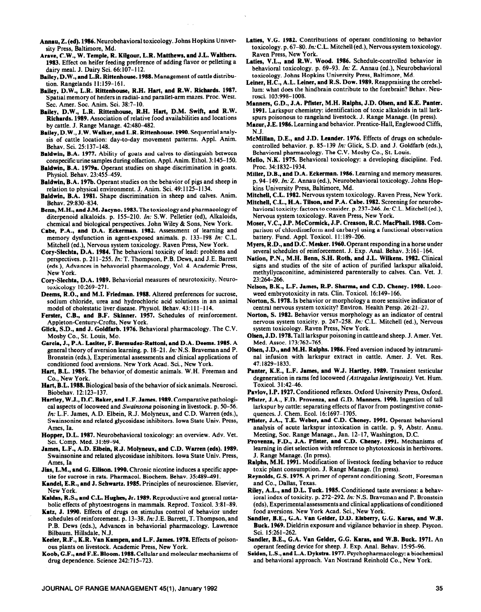- **Annau, Z. (cd). 1986.** Neurobehavioral toxicology. Johns Hopkins University Press, Baltimore, Md.
- **Aravc, C.W., W. Temple, R. Kilgour, L.R. Matthews, and J.L. Walthers. 1983.** Effect on heifer feeding preference of adding flavor or pelleting a dairy meal. J. Dairy Sci. 66:107-l 12.
- Bailey, D.W., and L.R. Rittenhouse. 1988. Management of cattle distribution. Rangelands 11:159-161.
- Bailey, D.W., L.R. **Rittcnhouse, R.H. Hart, and R.W. Richards. 1987.**  Spatial memory of heifers in radial- and parallel-arm mazes. Proc. West. Sec. Amer. Sot. Anim. Sci. 38:7-10.
- **Bailey, D.W., L.R. Rittenhouse, R.H. Hart, D.M. Swift,** and R.W. Richards. 1989. Association of relative food availabilities and locations by cattle. J. Range Manage. 42:480-482.
- Bailey, D.W., J.W. **Walker, and L.R. Rittenhouse. 1990.** Sequential analysis of cattle location: day-to-day movement patterns. Appl. Anim. Behav. Sci. 25:137-148.
- **Baldwin, B.A. 1977.** Ability of goats and calves to distinguish between conspecific urine samples during olfaction. Appl. Anim. Ethol. 3: 145-I 50.
- **Baldwin, B.A. 1979a.** Operant studies on shape discrimination in goats. Physiol. Behav. 23:455-459.
- **Baldwin,** B.A. 197b. Operant studies on the behavior of pigs and sheep in relation to physical environment. J. Anim. Sci. 49:1125-l 134.
- **Baldwin, B.A. 1981.** Shape discrimination in sheep and calves. Anim. Behav. 29:830-834.
- **Berm,** M.H., **and J.M. Jacyno. 1983.** The toxicology and pharmacology of diterpenoid alkaloids. p. 155-210. *In:* S.W. Pelletier (ed), Alkaloids, chemical and biological perspectives. John Wiley & Sons, New York.
- **Cabe, P.A., and D.A. Eckerman. 1982.** Assessment of learning and memory dysfunction in agent-exposed animals. p. 133-198 In: C.L. Mitchell (ed.), Nervous system toxicology. Raven Press, New York.
- **Cory-Slcchta, D.A. 1984. The** behavioral toxicity of lead: problems and perspectives. p. 21 l-255. In: T. Thompson, P.B. Dews, and J.E. Barrett (eds.), Advances in behavorial pharmacology, Vol. 4. Academic Press, New York.
- **Cory-Slechta, D.A. 1989.** Behaviorial measures of neurotoxicity. Neurotoxicology 10:269-271.
- Deems, **R.O., and M.I. Friedman. 1988.** Altered preferences for sucrose, sodium chloride, urea and hydrochloric acid solutions in an animal model of cholestatic liver disease. Physiol. Behav. 43:111-114.
- **Ferster, C.B., and B.F. Skinner. 1957.** Schedules of reinforcement. Appleton-Century-Crofts, New York.
- **Glick, S.D., and J. Goldfarh. 1976.** Behavioral pharmacology. The C.V. Mosby Co., St. Louis, MO.
- Garcia, j., P.A. Lasiter, F. Bermudez-Rattoni, and D.A. Deems. 1985. A general theory of aversion learning. p.  $18-21$ . In: N.S. Braveman and P. Bronstein (eds.), Experimental assessments and clinical applications of nal infusion conditioned food aversions. New York Acad. Sci., New York. 47:1829-1833.
- Hart, B.L. 1985. The behavior of domestic animals. W.H. Freeman and
- Hart, B.L. 1988. Biological basis of the behavior of sick animals. Neurosci. Biobehav. 12123-137. **Pavlov. LP. 1927.** Conditioned reflexes. Oxford Universitv Press. Oxford.
- cal aspects of locoweed and *Swainsona* poisoning in livestock. p. 50–56. larkspur by cattle: separating effects of *In*: L.F. James, A.D. Elbein, R.J. Molyneux, and C.D. Warren (eds.), quences. J. Chem. Ecol. 16:1697–1705  $In: L.F. James, A.D. Elbein, R.J. Molyneux, and C.D. Warren (eds.), Swainsonine and related glycosidase inhibitors. Iowa State Univ. Press.$
- **Hopper, D.L. 1987. Neurobehavioral** toxicology: an overview. Adv. Vet. Sci. Comn. **Med. 31:69-94.**
- **James, L.F:, A.D. Elbein, R J. Molyneux, and C.D. Warren (eds). 1989.**  Swainsonine and related glycosidase inhibitors. Iowa State Univ. Press, Ames, Ia
- Jias, L.M., **and G. Ellison. 1990.** Chronic nicotine induces a specific appetite for sucrose in rats. Pharmacol. Biochem. Behav. 35:489-491.
- Kandel, E.R., and J. Schwartz. 1985. Principles of neuroscience. Elsevier, New York.
- **Kaldas, R.S., and C.L. Hughes,** Jr. 1989. Reproductive and general metabolic effects of phytoestrogens in mammals. Reprod. Toxicol. 3:81-89.
- **Katz, J. 1990.** Effects of drugs on stimulus control of behavior under schedules of reinforcement. p. 13-38. *In:* J.E. Barrett, T. Thompson, and P.B. Dews (eds.), Advances in behaviorial pharmacology. Lawrence Bilbaum, Hillsdale, N.J.
- Keeler, R.F., K.R. Van Kampen, and L.F. James. 1978. Effects of poison-
- **Koob, G.F., and F.E. Bloom. 1988.** Cellular and molecular mechanisms of drug dependence. Science 242:715-723.
- Laties, V.G. 1982. Contributions of operant conditioning to behavior toxicology. p. 67-80. In: C.L. Mitchell (ed.), Nervous system toxicology. Raven Press, New York.
- Laties, V.L., and R.W. Wood. 1986. Schedule-controlled behavior in behavioral toxicology. p. 69-93. *In: Z.* Annau (ed.), Neurobehavioral toxicology. Johns Hopkins University Press, Baltimore, Md.
- **Leiner, H.C., A.L. Leiner, and R.S. Dow. 1989.** Reappraising the cerebellum: what does the hindbrain contribute to the forebrain? Behav. Neurosci. 103:998-1008.
- **Manners, G.D., J.A. Pfister, M.H. Ralphs, J.D. Olsen, and K.E. Panta. 1991.** Larksour chemistrv: identification of toxic alkaloids in tall larkspurs poisonous to rangeland livestock. J. Range Manage. (In press).
- **Mazur,** J.E. 1986. Learning **and** behavior. Prentice-Hall, Englewood Cliffs, N.J.
- McMillan, D.E., and J.D. Leander. 1976. Effects of drugs on schedulecontrolled behavior. p. 85-139 In: Glick, S.D. and J. Goldfarb (eds.), Behavioral pharmacology. The C.V. Mosby Co., St. Louis.
- **Mello, N.K. 1975.** Behavioral toxicology: a developing discipline. Fed. Proc. 34:1832-1934.
- **Miller, D.B., and D.A. Eckerman. 1986.** Learning and memory measures. p. 94-149. *In: Z.* Annau (ed.), Neurobehavioral toxicology. Johns Hopkins University Press, Baltimore, Md.
- **Mitehell, C.L. 1982.** Nervous system toxicology. Raven Press, New York.
- Mitchell, C.L., H.A. **Tilson, and P.A. Cabe. 1982.** Screening for neurobehavioral toxicity: factors to consider. p. 237-246. *In:* C.L. Mitchell(ed.), Nervous system toxicology. Raven Press, New York.
- **Moser, V.C., J.P. McCormick, J.P. Creason, R.C. MacPhail. 1988. Com**parison of chlordimeform and carbaryl using a functional observation battery. Fund. Appl. Toxicol. 11: 189-206.
- **Myers, R.D., and D.C.** Mesker. 1960. Operant responding in a horse under several schedules of reinforcement. J. Exp. Anal. Behav. 3:161-164.
- Nation, P.N., M.H. Benn, S.H. Roth, and J.L. Wilkens. 1982. Clinical signs and studies of the site of action of purified larkspur alkaloid, methyllycaconitine, administered parenterally to calves. Can. Vet. J. 23:264-266.
- **Nelson, B.K., L.F. James, R.P. Sharma, and C.D. Cheney. 1980.** Locoweed embryotoxicity in rats. Clin. Toxicol. 16:149-166.
- **Norton, S. 1978. Is** behavior or morphology a more sensitive indicator of central nervous system toxicity? Environ. Health Persp. 26:21-27.
- **Norton, S. 1982.** Behavior versus morphology as an indicator of central nervous system toxicity. p. 247-258. *In:* C.L. Mitchell (ed.), Nervous system toxicology. Raven Press, New York.
- Med. Assoc. 173:762-765. **Olsen, J.D. 1978.** Tall larkspur poisoning in cattle and sheep. J. Amer. Vet.
- **Olsen, J.D., and M.H. Ralphs. 1986.** Feed aversion induced by intraruminal infusion with larkspur extract in cattle. Amer. J. Vet. Res. conditioned food aversions. New York Acad. Sci., New York. 47:1829-1833.<br>art. B.L. 1985. The behavior of domestic animals. W.H. Freeman and Panter, K.E., L.F. James, and W.J. Hartley. 1989. Transient testicular
- Co., New York.<br>**art. B.L. 1988.** Biological basis of the behavior of sick animals. Neurosci. Toxicol. 31:42-46.
	-
- **Hartley, W.J., D.C. Baker, and L.F. James. 1989.** Comparative pathologi- **Pfister; J.A., F.D. Provenza, and G.D. Manners. 1990.** ingestion of tall
	- Pfister, J.A., T.E. Weber, and C.D. Cheney. 1991. Operant behavioral Ames, Ia. **Ames, Ia.** analysis of acute larkspur intoxication in cattle. p. 9, Abstr. Annu. Meeting, Soc. Range Manage., Jan. 12-17, Washington, D.C.
		- learning in diet selection with reference to phytotoxicosis in herbivores. J. Range Manage. (In press). **Provenza. F.D., J.A. Pfister,** and **C.D. Chemy. 1991.** Mechanisms of
		- **Ralphs, M.H. 1991.** Modification of livestock feeding behavior to reduce toxic plant consumption. J. Range Manage. (In press).
		- **Reynolds, G.S. 1975.** A primer of operant conditioning. Scott, Foresman and Co., Dallas, Texas.
		- Riley, **A.L., and D.L. Tuck. 1985.** Conditioned taste aversions: a behavioral index of toxicity. p. 272-292. In: N.S. Braveman and P. Bronstein (eds), Experimental assessments and clinical applications of conditioned food aversions. New York Acad. Sci., New York.
		- **Snndler, B.E., G.A. Van Gelder, D.D. Elsberry, G.G. Karas, and W.B. Buck. 1969.** Dieldrin exposure and vigilance behavior in sheep. Psycon.
		- Sci. 15:261-262.<br>Sandler, B.E., G.A. Van Gelder, G.G. Karas, and W.B. Buck. 1971. An
	- ous plants on livestock. Academic Press, New York.<br> **oob, G.F., and F.E. Bloom. 1988.** Cellular and molecular mechanisms of Seiden, L.S., and L.A. Dykstra. 1977. Psychopharmacology: a biochemical and behavioral approach. Van Nostrand Reinhold Co., New York.